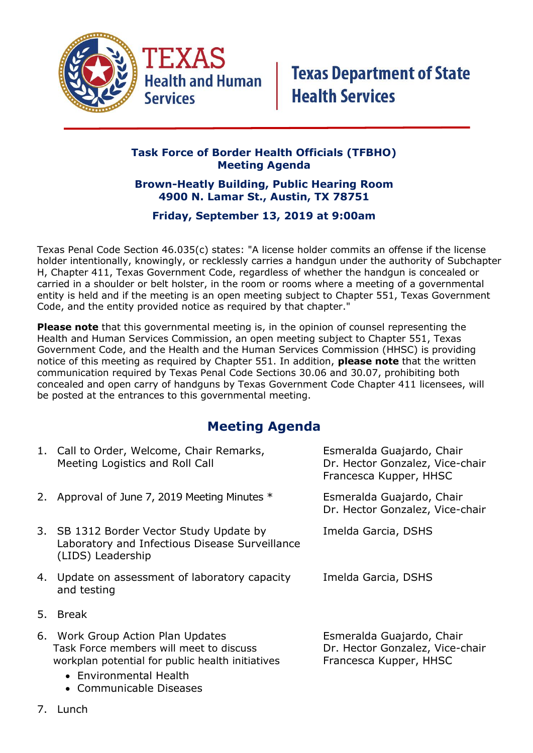

### **Task Force of Border Health Officials (TFBHO) Meeting Agenda**

#### **Brown-Heatly Building, Public Hearing Room 4900 N. Lamar St., Austin, TX 78751**

### **Friday, September 13, 2019 at 9:00am**

Texas Penal Code Section 46.035(c) states: "A license holder commits an offense if the license holder intentionally, knowingly, or recklessly carries a handgun under the authority of Subchapter H, Chapter 411, Texas Government Code, regardless of whether the handgun is concealed or carried in a shoulder or belt holster, in the room or rooms where a meeting of a governmental entity is held and if the meeting is an open meeting subject to Chapter 551, Texas Government Code, and the entity provided notice as required by that chapter."

**Please note** that this governmental meeting is, in the opinion of counsel representing the Health and Human Services Commission, an open meeting subject to Chapter 551, Texas Government Code, and the Health and the Human Services Commission (HHSC) is providing notice of this meeting as required by Chapter 551. In addition, **please note** that the written communication required by Texas Penal Code Sections 30.06 and 30.07, prohibiting both concealed and open carry of handguns by Texas Government Code Chapter 411 licensees, will be posted at the entrances to this governmental meeting.

## **Meeting Agenda**

|    | 1. Call to Order, Welcome, Chair Remarks,<br>Meeting Logistics and Roll Call                                                                                                          | Esmeralda Guajardo, Chair<br>Dr. Hector Gonzalez, Vice-chair<br>Francesca Kupper, HHSC |
|----|---------------------------------------------------------------------------------------------------------------------------------------------------------------------------------------|----------------------------------------------------------------------------------------|
|    | 2. Approval of June 7, 2019 Meeting Minutes *                                                                                                                                         | Esmeralda Guajardo, Chair<br>Dr. Hector Gonzalez, Vice-chair                           |
|    | 3. SB 1312 Border Vector Study Update by<br>Laboratory and Infectious Disease Surveillance<br>(LIDS) Leadership                                                                       | Imelda Garcia, DSHS                                                                    |
|    | 4. Update on assessment of laboratory capacity<br>and testing                                                                                                                         | Imelda Garcia, DSHS                                                                    |
| 5. | <b>Break</b>                                                                                                                                                                          |                                                                                        |
|    | 6. Work Group Action Plan Updates<br>Task Force members will meet to discuss<br>workplan potential for public health initiatives<br>• Environmental Health<br>• Communicable Diseases | Esmeralda Guajardo, Chair<br>Dr. Hector Gonzalez, Vice-chair<br>Francesca Kupper, HHSC |

7. Lunch